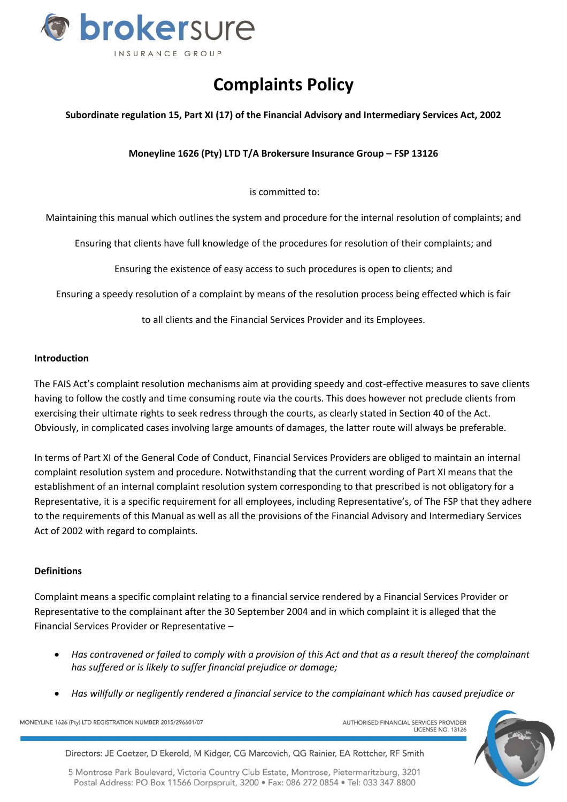

# **Complaints Policy**

# **Subordinate regulation 15, Part XI (17) of the Financial Advisory and Intermediary Services Act, 2002**

# **Moneyline 1626 (Pty) LTD T/A Brokersure Insurance Group – FSP 13126**

is committed to:

Maintaining this manual which outlines the system and procedure for the internal resolution of complaints; and

Ensuring that clients have full knowledge of the procedures for resolution of their complaints; and

Ensuring the existence of easy access to such procedures is open to clients; and

Ensuring a speedy resolution of a complaint by means of the resolution process being effected which is fair

to all clients and the Financial Services Provider and its Employees.

## **Introduction**

The FAIS Act's complaint resolution mechanisms aim at providing speedy and cost-effective measures to save clients having to follow the costly and time consuming route via the courts. This does however not preclude clients from exercising their ultimate rights to seek redress through the courts, as clearly stated in Section 40 of the Act. Obviously, in complicated cases involving large amounts of damages, the latter route will always be preferable.

In terms of Part XI of the General Code of Conduct, Financial Services Providers are obliged to maintain an internal complaint resolution system and procedure. Notwithstanding that the current wording of Part XI means that the establishment of an internal complaint resolution system corresponding to that prescribed is not obligatory for a Representative, it is a specific requirement for all employees, including Representative's, of The FSP that they adhere to the requirements of this Manual as well as all the provisions of the Financial Advisory and Intermediary Services Act of 2002 with regard to complaints.

#### **Definitions**

Complaint means a specific complaint relating to a financial service rendered by a Financial Services Provider or Representative to the complainant after the 30 September 2004 and in which complaint it is alleged that the Financial Services Provider or Representative –

- *Has contravened or failed to comply with a provision of this Act and that as a result thereof the complainant has suffered or is likely to suffer financial prejudice or damage;*
- *Has willfully or negligently rendered a financial service to the complainant which has caused prejudice or*

MONEYLINE 1626 (Pty) LTD REGISTRATION NUMBER 2015/296601/07





Directors: JE Coetzer, D Ekerold, M Kidger, CG Marcovich, QG Rainier, EA Rottcher, RF Smith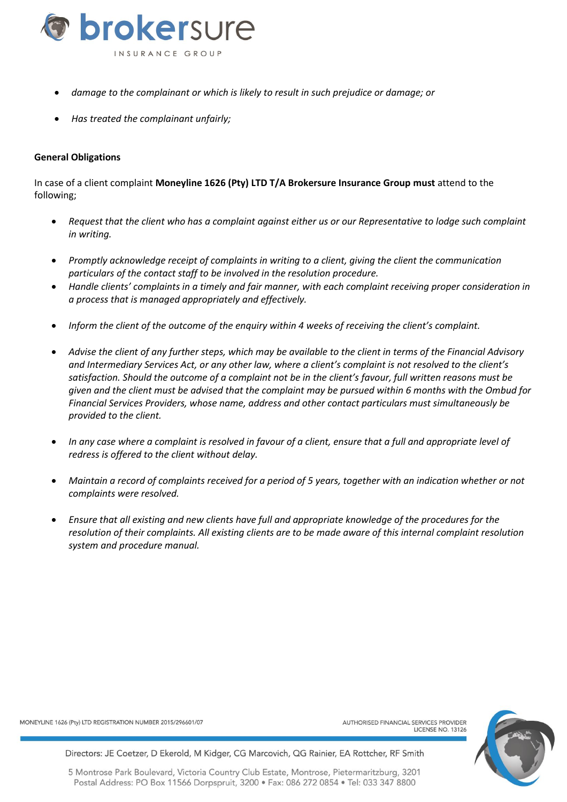

- *damage to the complainant or which is likely to result in such prejudice or damage; or*
- *Has treated the complainant unfairly;*

### **General Obligations**

In case of a client complaint **Moneyline 1626 (Pty) LTD T/A Brokersure Insurance Group must** attend to the following;

- *Request that the client who has a complaint against either us or our Representative to lodge such complaint in writing.*
- *Promptly acknowledge receipt of complaints in writing to a client, giving the client the communication particulars of the contact staff to be involved in the resolution procedure.*
- *Handle clients' complaints in a timely and fair manner, with each complaint receiving proper consideration in a process that is managed appropriately and effectively.*
- *Inform the client of the outcome of the enquiry within 4 weeks of receiving the client's complaint.*
- *Advise the client of any further steps, which may be available to the client in terms of the Financial Advisory and Intermediary Services Act, or any other law, where a client's complaint is not resolved to the client's satisfaction. Should the outcome of a complaint not be in the client's favour, full written reasons must be given and the client must be advised that the complaint may be pursued within 6 months with the Ombud for Financial Services Providers, whose name, address and other contact particulars must simultaneously be provided to the client.*
- *In any case where a complaint is resolved in favour of a client, ensure that a full and appropriate level of redress is offered to the client without delay.*
- *Maintain a record of complaints received for a period of 5 years, together with an indication whether or not complaints were resolved.*
- *Ensure that all existing and new clients have full and appropriate knowledge of the procedures for the resolution of their complaints. All existing clients are to be made aware of this internal complaint resolution system and procedure manual.*





AUTHORISED FINANCIAL SERVICES PROVIDER

**LICENSE NO. 13126** 

Directors: JE Coetzer, D Ekerold, M Kidger, CG Marcovich, QG Rainier, EA Rottcher, RF Smith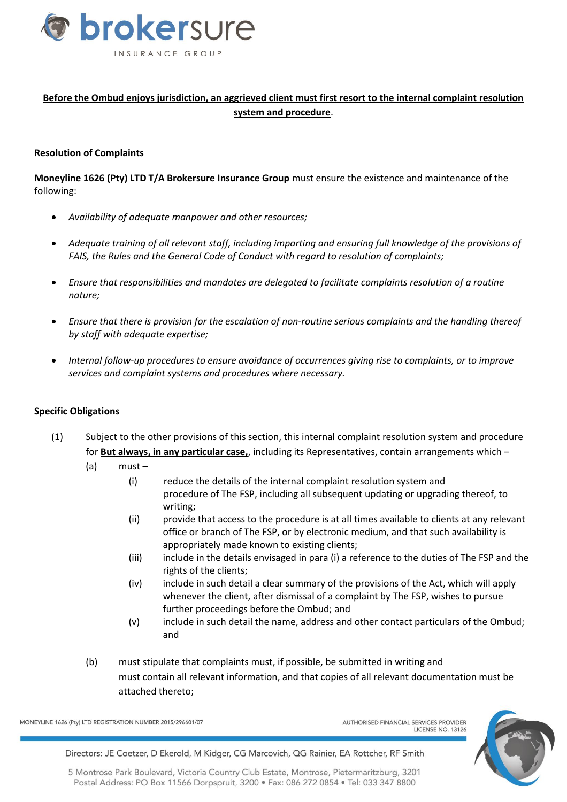

# **Before the Ombud enjoys jurisdiction, an aggrieved client must first resort to the internal complaint resolution system and procedure**.

# **Resolution of Complaints**

**Moneyline 1626 (Pty) LTD T/A Brokersure Insurance Group** must ensure the existence and maintenance of the following:

- *Availability of adequate manpower and other resources;*
- *Adequate training of all relevant staff, including imparting and ensuring full knowledge of the provisions of FAIS, the Rules and the General Code of Conduct with regard to resolution of complaints;*
- *Ensure that responsibilities and mandates are delegated to facilitate complaints resolution of a routine nature;*
- *Ensure that there is provision for the escalation of non-routine serious complaints and the handling thereof by staff with adequate expertise;*
- *Internal follow-up procedures to ensure avoidance of occurrences giving rise to complaints, or to improve services and complaint systems and procedures where necessary.*

## **Specific Obligations**

- (1) Subject to the other provisions of this section, this internal complaint resolution system and procedure for **But always, in any particular case,**, including its Representatives, contain arrangements which –
	- (a) must
		- (i) reduce the details of the internal complaint resolution system and procedure of The FSP, including all subsequent updating or upgrading thereof, to writing;
		- (ii) provide that access to the procedure is at all times available to clients at any relevant office or branch of The FSP, or by electronic medium, and that such availability is appropriately made known to existing clients;
		- (iii) include in the details envisaged in para (i) a reference to the duties of The FSP and the rights of the clients;
		- (iv) include in such detail a clear summary of the provisions of the Act, which will apply whenever the client, after dismissal of a complaint by The FSP, wishes to pursue further proceedings before the Ombud; and
		- (v) include in such detail the name, address and other contact particulars of the Ombud; and
	- (b) must stipulate that complaints must, if possible, be submitted in writing and must contain all relevant information, and that copies of all relevant documentation must be attached thereto;

MONEYLINE 1626 (Pty) LTD REGISTRATION NUMBER 2015/296601/07

AUTHORISED FINANCIAL SERVICES PROVIDER LICENSE NO. 13126



Directors: JE Coetzer, D Ekerold, M Kidger, CG Marcovich, QG Rainier, EA Rottcher, RF Smith